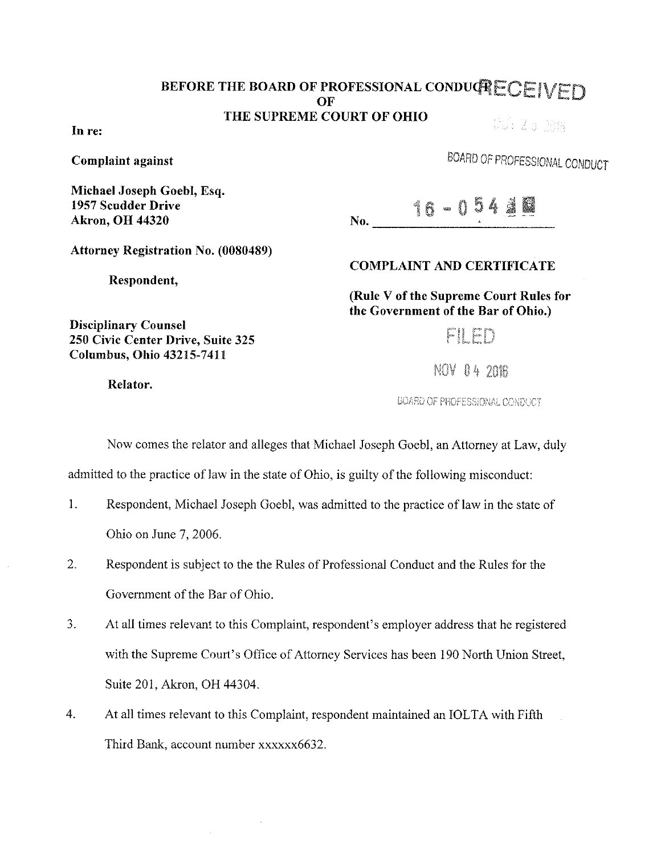## BEFORE THE BOARD OF PROFESSIONAL CONDUCTECEIVED  $\overline{\text{OF}}$  and  $\overline{\text{OF}}$ THE SUPREME COURT OF OHIO SS 25 208

In re:

Complaint against

Michael Joseph Goehl, Esq. 1957 Scudder Drive Akron, OH 44320

| <b>SKEW</b><br>AM.<br>э<br>- 3<br>x.<br>45.<br>G<br>62133<br>w<br>-94<br>"<br>47<br>20.0000<br>w<br>- مشتعر .<br>۸ |
|--------------------------------------------------------------------------------------------------------------------|
|--------------------------------------------------------------------------------------------------------------------|

BOARD OF PROFESSIONAL CONDUCT

Attorney Registration No. (0080489)

250 Civic Center Drive, Suite 325 Columbus, Ohio 43215-7411

Respondent,

## COMPLAINT AND CERTIFICATE

(Rule V of the Supreme Court Rules for the Government of the Bar of Ohio.)

FILED

NOV 04 2016

BOARD OF PROFESSIONAL CONDUCT

Now comes the relator and alleges that Michael Joseph Goebl, an Attorney at Law, duly

admitted to the practice of Jaw in the state of Ohio, is guilty of the following misconduct:

- 1. Respondent, Michael Joseph Goebl, was admitted to the practice of Jaw in the state of Ohio on June 7, 2006.
- 2. Respondent is subject to the the Rules of Professional Conduct and the Rules for the Government of the Bar of Ohio.
- 3. At all times relevant to this Complaint, respondent's employer address that he registered with the Supreme Court's Office of Attorney Services has been 190 North Union Street, Suite 201, Akron, OH 44304.
- 4. At all times relevant to this Complaint, respondent maintained an IOLTA with Fifth Third Bank, account number xxxxxx6632.

Relator.

Disciplinary Counsel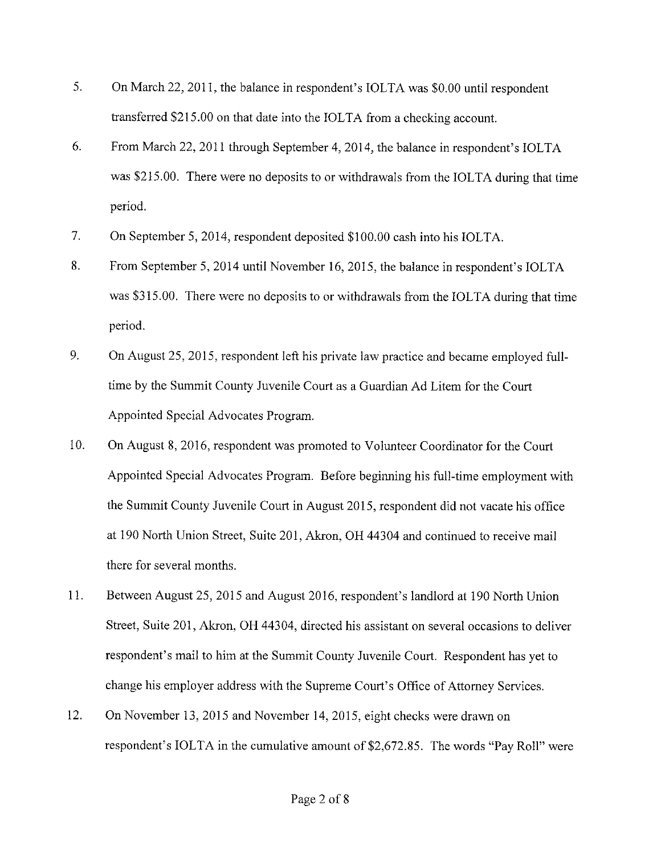- 5. On March 22, 2011, the balance in respondent's IOLTA was \$0.00 until respondent transferred \$215.00 on that date into the IOLTA from a checking account.
- 6. From March 22, 2011 through September 4, 2014, the balance in respondent's IOLTA was \$215.00. There were no deposits to or withdrawals from the IOLTA during that time period.
- 7. On September 5, 2014, respondent deposited \$100.00 cash into his IOLTA.
- 8. From September 5, 2014 until November 16, 2015, the balance in respondent's IOLTA was \$315.00. There were no deposits to or withdrawals from the IOLTA during that time period.
- 9. On August 25, 2015, respondent left his private law practice and became employed fulltime by the Summit County Juvenile Court as a Guardian Ad Litem for the Court Appointed Special Advocates Program.
- 10. On August 8, 2016, respondent was promoted to Volunteer Coordinator for the Court Appointed Special Advocates Program. Before beginning his full-time employment with the Summit County Juvenile Court in August 2015, respondent did not vacate his office at 190 North Union Street, Suite 201, Akron, OH 44304 and continued to receive mail there for several months.
- 11. Between August 25, 2015 and August 2016, respondent's landlord at 190 North Union Street, Suite 201, Akron, OH 44304, directed his assistant on several occasions to deliver respondent's mail to him at the Summit County Juvenile Court. Respondent has yet to change his employer address with the Supreme Court's Office of Attorney Services.
- 12. On November 13, 2015 and November 14, 2015, eight checks were drawn on respondent's IOLTA in the cumulative amount of \$2,672.85. The words "Pay Roll" were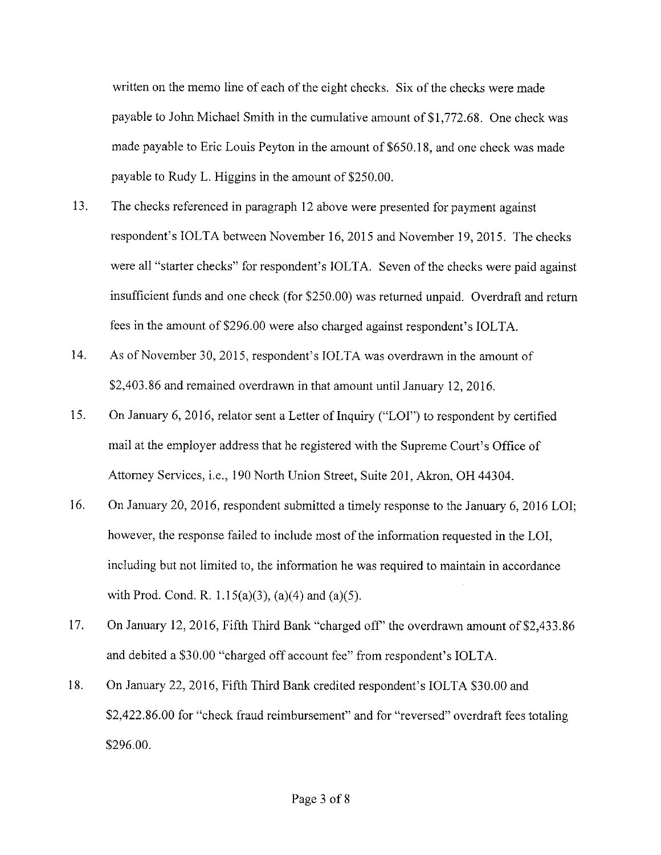written on the memo line of each of the eight checks. Six of the checks were made payable to John Michael Smith in the cumulative amount of \$1,772.68. One check was made payable to Eric Louis Peyton in the amount of \$650.18, and one check was made payable to Rudy L. Higgins in the amount of \$250.00.

- 13. The checks referenced in paragraph 12 above were presented for payment against respondent's IOLTA between November 16, 2015 and November 19, 2015. The checks were all "starter checks" for respondent's IOLTA. Seven of the checks were paid against insufficient funds and one check (for \$250.00) was returned unpaid. Overdraft and return fees in the amount of \$296.00 were also charged against respondent's IOLTA.
- 14. As of November 30, 2015, respondent's IOLTA was overdrawn in the amount of \$2,403.86 and remained overdrawn in that amount until January 12, 2016.
- 15. On January 6, 2016, relator sent a Letter of Inquiry ("LOI") to respondent by certified mail at the employer address that he registered with the Supreme Court's Office of Attorney Services, i.e., 190 North Union Street, Suite 201, Akron, OH 44304.
- 16. On January 20, 2016, respondent submitted a timely response to the January 6, 2016 LOI; however, the response failed to include most of the information requested in the LOI, including but not limited to, the information he was required to maintain in accordance with Prod. Cond. R.  $1.15(a)(3)$ ,  $(a)(4)$  and  $(a)(5)$ .
- 17. On January 12, 2016, Fifth Third Bank "charged off" the overdrawn amount of \$2,433.86 and debited a \$30.00 "charged off account fee" from respondent's IOLTA.
- 18. On January 22, 2016, Fifth Third Bank credited respondent's IOLTA \$30.00 and \$2,422.86.00 for "check fraud reimbursement" and for "reversed" overdraft fees totaling \$296.00.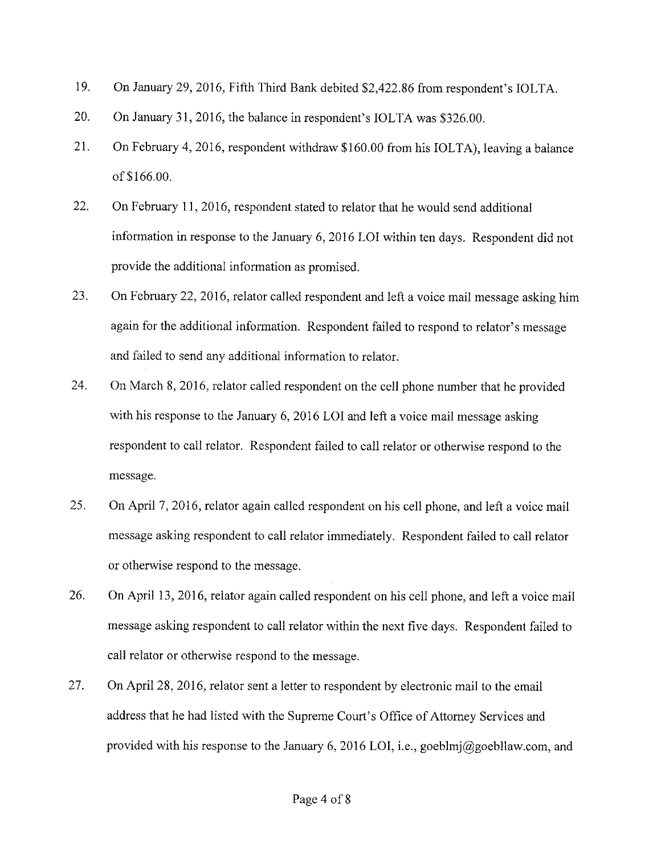- 19. On January 29, 2016, Fifth Third Bank debited \$2,422.86 from respondent's IOLTA.
- 20. On January 31, 2016, the balance in respondent's IOLTA was \$326.00.
- 21. On February 4, 2016, respondent withdraw \$160.00 from his IOLTA), leaving a balance of \$166.00.
- 22. On February 11, 2016, respondent stated to relator that he would send additional information in response to the January 6, 2016 LOI within ten days. Respondent did not provide the additional information as promised.
- 23. On February 22, 2016, relator called respondent and left a voice mail message asking him again for the additional information. Respondent failed to respond to relator's message and failed to send any additional information to relator.
- 24. On March 8, 2016, relator called respondent on the cell phone number that he provided with his response to the January 6, 2016 LOI and left a voice mail message asking respondent to call relator. Respondent failed to call relator or otherwise respond to the message.
- 25. On April 7, 2016, relator again called respondent on his cell phone, and left a voice mail message asking respondent to call relator immediately. Respondent failed to call relator or otherwise respond to the message.
- 26. On April 13, 2016, relator again called respondent on his cell phone, and left a voice mail message asking respondent to call relator within the next five days. Respondent failed to call relator or otherwise respond to the message.
- 27. On April 28, 2016, relator sent a letter to respondent by electronic mail to the email address that he had listed with the Supreme Court's Office of Attorney Services and provided with his response to the January 6, 2016 LOI, i.e., goeblmj@goebllaw.com, and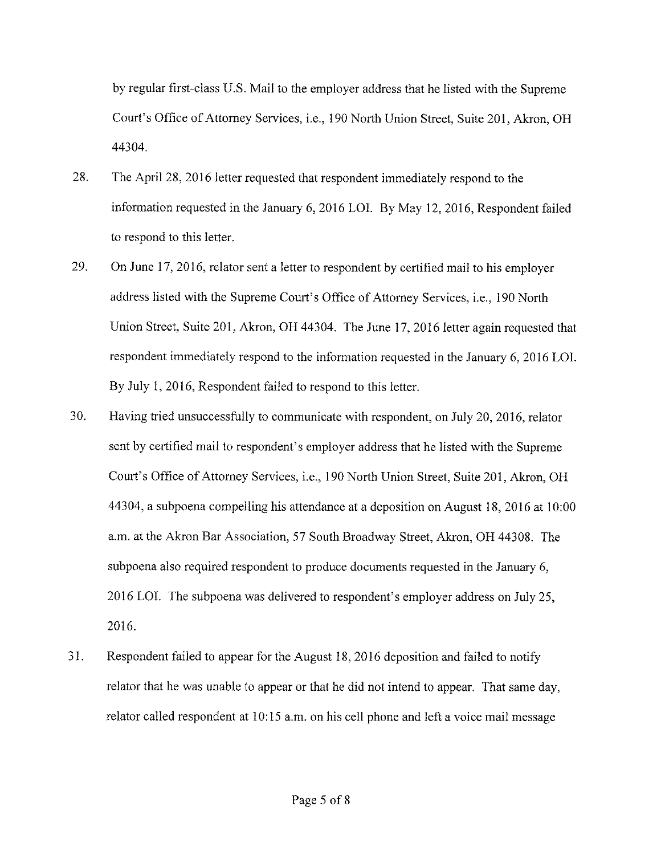by regular first-class U.S. Mail to the employer address that he listed with the Supreme Court's Office of Attorney Services, i.e., 190 North Union Street, Suite 201, Akron, OH 44304.

- 28. The April 28, 2016 letter requested that respondent immediately respond to the information requested in the January 6, 2016 LOI. By May 12, 2016, Respondent failed to respond to this letter.
- 29. On June 17, 2016, relator sent a letter to respondent by certified mail to his employer address listed with the Supreme Court's Office of Attorney Services, i.e., 190 North Union Street, Suite 201, Akron, OH 44304. The June 17, 2016 letter again requested that respondent immediately respond to the information requested in the January 6, 2016 LOI. By July 1, 2016, Respondent failed to respond to this letter.
- 30. Having tried unsuccessfully to communicate with respondent, on July 20, 2016, relator sent by certified mail to respondent's employer address that he listed with the Supreme Court's Office of Attorney Services, i.e., 190 North Union Street, Suite 201, Akron, OH 44304, a subpoena compelling his attendance at a deposition on August 18, 2016 at 10:00 a.m. at the Akron Bar Association, 57 South Broadway Street, Akron, OH 44308. The subpoena also required respondent to produce documents requested in the January 6, 2016 LOI. The subpoena was delivered to respondent's employer address on July 25, 2016.
- 31. Respondent failed to appear for the August 18, 2016 deposition and failed to notify relator that he was unable to appear or that he did not intend to appear. That same day, relator called respondent at 10:15 a.m. on his cell phone and left a voice mail message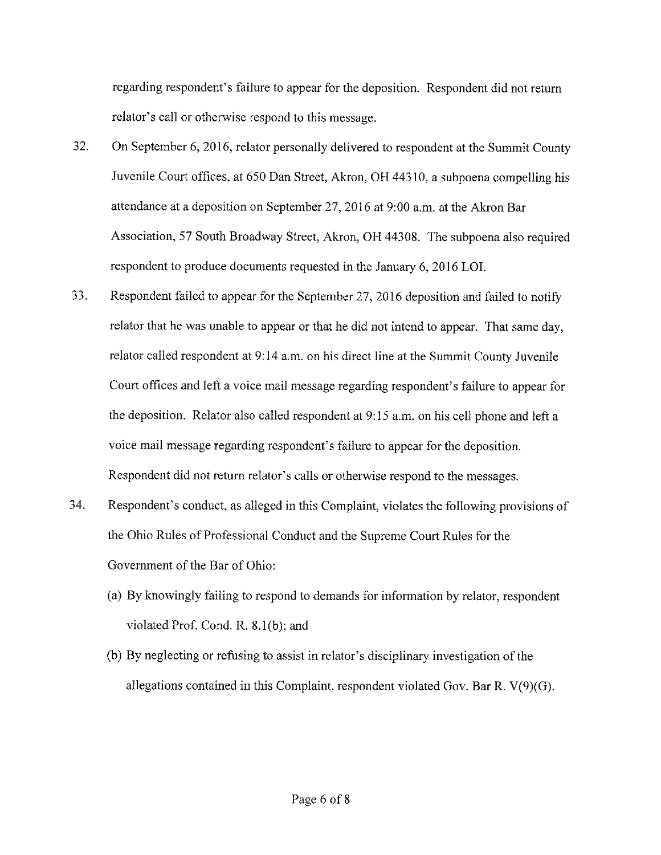regarding respondent's failure to appear for the deposition. Respondent did not return relator's call or otherwise respond to this message.

- 32. On September 6, 2016, relator personally delivered to respondent at the Summit County Juvenile Court offices, at 650 Dan Street, Akron, OH 44310, a subpoena compelling his attendance at a deposition on September 27, 2016 at 9:00 a.m. at the Akron Bar Association, 57 South Broadway Street, Akron, OH 44308. The subpoena also required respondent to produce documents requested in the January 6, 2016 LOI.
- 33. Respondent failed to appear for the September 27, 2016 deposition and failed to notify relator that he was unable to appear or that he did not intend to appear. That same day, relator called respondent at 9:14 a.m. on his direct line at the Summit County Juvenile Court offices and left a voice mail message regarding respondent's failure to appear for the deposition. Relator also called respondent at 9: 15 a.m. on his cell phone and left a voice mail message regarding respondent's failure to appear for the deposition. Respondent did not return relator's calls or otherwise respond to the messages.
- 34. Respondent's conduct, as alleged in this Complaint, violates the following provisions of the Ohio Rules of Professional Conduct and the Supreme Court Rules for the Government of the Bar of Ohio:
	- (a) By knowingly failing to respond to demands for information by relator, respondent violated Prof. Cond. R. 8.1(b); and
	- (b) By neglecting or refusing to assist in relator's disciplinary investigation of the allegations contained in this Complaint, respondent violated Gov. Bar R. V(9)(G).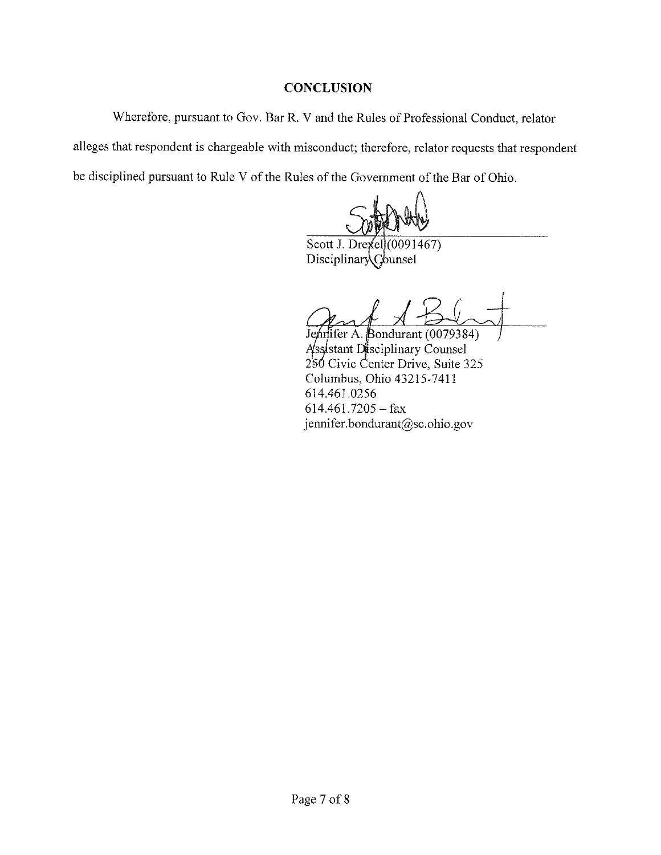## **CONCLUSION**

Wherefore, pursuant to Gov. Bar R. V and the Rules of Professional Conduct, relator alleges that respondent is chargeable with misconduct; therefore, relator requests that respondent be disciplined pursuant to Rule V of the Rules of the Government of the Bar of Ohio.

Scott J. Drexel (0091467) DisciplinaryCounsel

 $3$ ondurant (0079384) Assistant Disciplinary Counsel 2<sup>§6</sup> Civic Center Drive, Suite 325 Columbus, Ohio 43215-7411 614.461.0256  $614.461.7205 - fax$ jennifer.bondurant@sc.ohio.gov